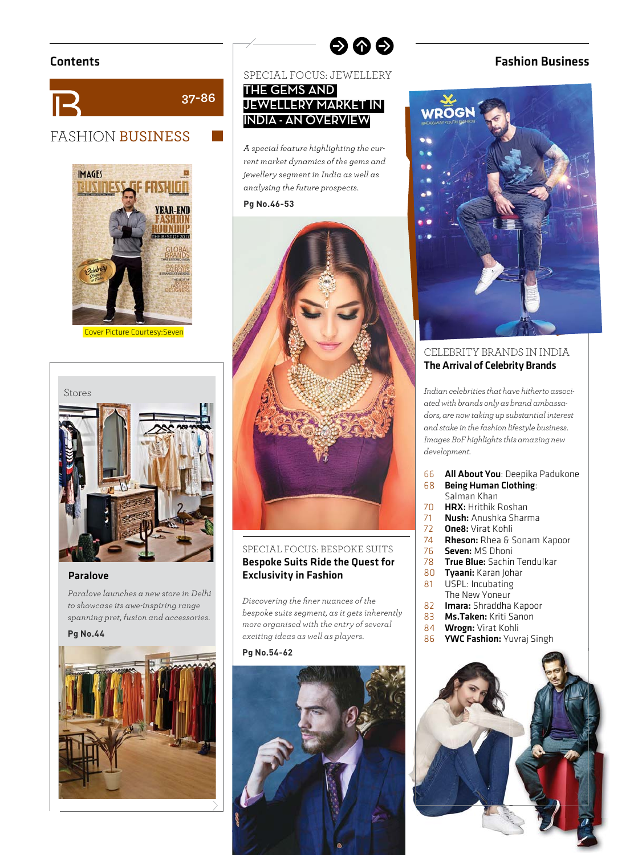



Cover Picture Courtesy:Seven



#### Paralove

*Paralove launches a new store in Delhi to showcase its awe-inspiring range spanning pret, fusion and accessories.*

#### **Pg No.44**



SPECIAL FOCUS: JEWELLERY

 $\bullet \bullet \bullet$ 

### **THE GEMS AND JEWELLERY MARKET IN INDIA - AN OVERVIEW**

*A special feature highlighting the current market dynamics of the gems and jewellery segment in India as well as analysing the future prospects.* 

# **Pg No.46-53**



### SPECIAL FOCUS: BESPOKE SUITS Bespoke Suits Ride the Quest for Exclusivity in Fashion

*Discovering the fi ner nuances of the bespoke suits segment, as it gets inherently more organised with the entry of several exciting ideas as well as players.*

#### **Pg No.54-62**



### Contents Fashion Business



#### CELEBRITY BRANDS IN INDIA The Arrival of Celebrity Brands

*Indian celebrities that have hitherto associated with brands only as brand ambassadors, are now taking up substantial interest and stake in the fashion lifestyle business. Images BoF highlights this amazing new development.*

- 66 All About You: Deepika Padukone<br>68 Being Human Clothing:
- Being Human Clothing: Salman Khan
- 70 **HRX:** Hrithik Roshan<br>71 **Nush:** Anushka Sharr
- 71 **Nush:** Anushka Sharma<br>72 **One8:** Virat Kohli
- 72 **One8:** Virat Kohli<br>74 **Rheson**: Rhea & S
- 74 **Rheson:** Rhea & Sonam Kapoor<br>76 **Seven:** MS Dhoni
- 
- 76 **Seven: MS Dhoni**<br>78 **True Blue:** Sachin 78 True Blue: Sachin Tendulkar<br>80 Tyaani: Karan Johar
- 80 Tyaani: Karan Johar<br>81 USPL: Incubating
- USPL: Incubating The New Yoneur
- 82 **Imara:** Shraddha Kapoor<br>83 **Ms.Taken:** Kriti Sanon
- 83 **Ms.Taken:** Kriti Sanon<br>84 **Wrogn:** Virat Kohli
- 84 **Wrogn:** Virat Kohli<br>86 **YWC Fashion:** Yuvi
- YWC Fashion: Yuvraj Singh

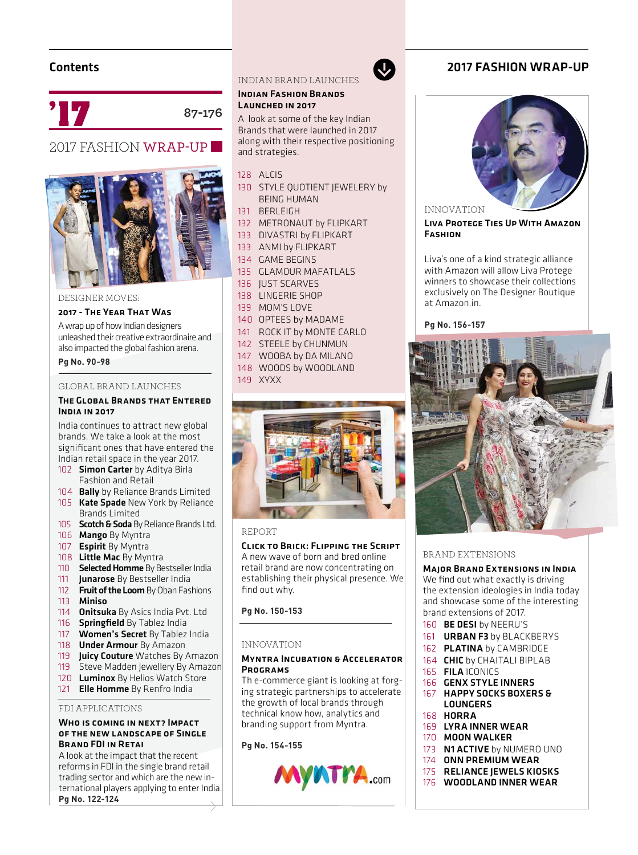# Contents



**87-176**

# 2017 FASHION WRAP-UP



DESIGNER MOVES:

#### 2017 - The Year That Was

A wrap up of how Indian designers unleashed their creative extraordinaire and also impacted the global fashion arena.

**Pg No. 90-98**

#### GLOBAL BRAND LAUNCHES

#### The Global Brands that Entered India in 2017

India continues to attract new global brands. We take a look at the most significant ones that have entered the Indian retail space in the year 2017.

- 102 **Simon Carter** by Aditya Birla Fashion and Retail
- 104 **Bally** by Reliance Brands Limited
- 105 Kate Spade New York by Reliance Brands Limited
- 105 Scotch & Soda By Reliance Brands Ltd.
- 106 Mango By Myntra
- 107 **Espirit** By Myntra
- 108 Little Mac By Myntra
- 110 **Selected Homme** By Bestseller India
- 111 **Junarose** By Bestseller India
- 112 Fruit of the Loom By Oban Fashions 113 Miniso
- 114 **Onitsuka** By Asics India Pvt. Ltd
- 116 **Springfield** By Tablez India
- 117 **Women's Secret** By Tablez India
- 118 **Under Armour** By Amazon
- 119 **Juicy Couture** Watches By Amazon<br>119 Steve Madden Jewellery By Amazon
- Steve Madden Jewellery By Amazon
- 120 Luminox By Helios Watch Store
- 121 **Elle Homme** By Renfro India

#### FDI APPLICATIONS

#### Who is coming in next? Impact of the new landscape of Single Brand FDI in Retai

A look at the impact that the recent reforms in FDI in the single brand retail trading sector and which are the new international players applying to enter India. **Pg No. 122-124**

INDIAN BRAND LAUNCHES

#### Indian Fashion Brands LAUNCHED IN 2017

A look at some of the key Indian Brands that were launched in 2017 along with their respective positioning and strategies.

 $\mathbf{\Omega}$ 

#### 128 ALCIS

- 130 STYLE QUOTIENT JEWELERY by BEING HUMAN
- 131 BERLEIGH
- 132 METRONAUT by FLIPKART
- 133 DIVASTRI by FLIPKART
- 133 ANMI by FLIPKART
- 134 GAME BEGINS
- 135 GLAMOUR MAFATLALS
- 136 **JUST SCARVES**
- 138 LINGERIE SHOP
- 139 MOM'S LOVE
- 140 OPTEES by MADAME
- 141 ROCK IT by MONTE CARLO
- 142 STEELE by CHUNMUN
- 147 WOOBA by DA MILANO
- 148 WOODS by WOODLAND
- 149 XYXX





#### Click to Brick: Flipping the Script

A new wave of born and bred online retail brand are now concentrating on establishing their physical presence. We find out why.

# **Pg No. 150-153**

#### INNOVATION

#### Myntra Incubation & Accelerator **PROGRAMS**

Th e-commerce giant is looking at forging strategic partnerships to accelerate the growth of local brands through technical know how, analytics and branding support from Myntra.

# **Pg No. 154-155**



## **2017 FASHION WRAP-UP**



INNOVATION

LIVA PROTEGE TIES UP WITH AMAZON **FASHION** 

Liva's one of a kind strategic alliance with Amazon will allow Liva Protege winners to showcase their collections exclusively on The Designer Boutique at Amazon.in.

Pa No. 156-157



#### BRAND EXTENSIONS

Major Brand Extensions in India

We find out what exactly is driving the extension ideologies in India today and showcase some of the interesting brand extensions of 2017.

- 160 BE DESI by NEERU'S
- 161 **URBAN F3** by BLACKBERYS
- 162 PLATINA by CAMBRIDGE
- 164 **CHIC** by CHAITALI BIPLAB
- 165 FILA ICONICS
- 166 GENX STYLE INNERS
- 167 HAPPY SOCKS BOXERS & LOUNGERS
- 168 HORRA
- 169 LYRA INNER WEAR
- 170 MOON WALKER
- 173 N1 ACTIVE by NUMERO UNO
- 174 ONN PREMIUM WEAR
- 175 RELIANCE JEWELS KIOSKS
- 176 WOODLAND INNER WEAR